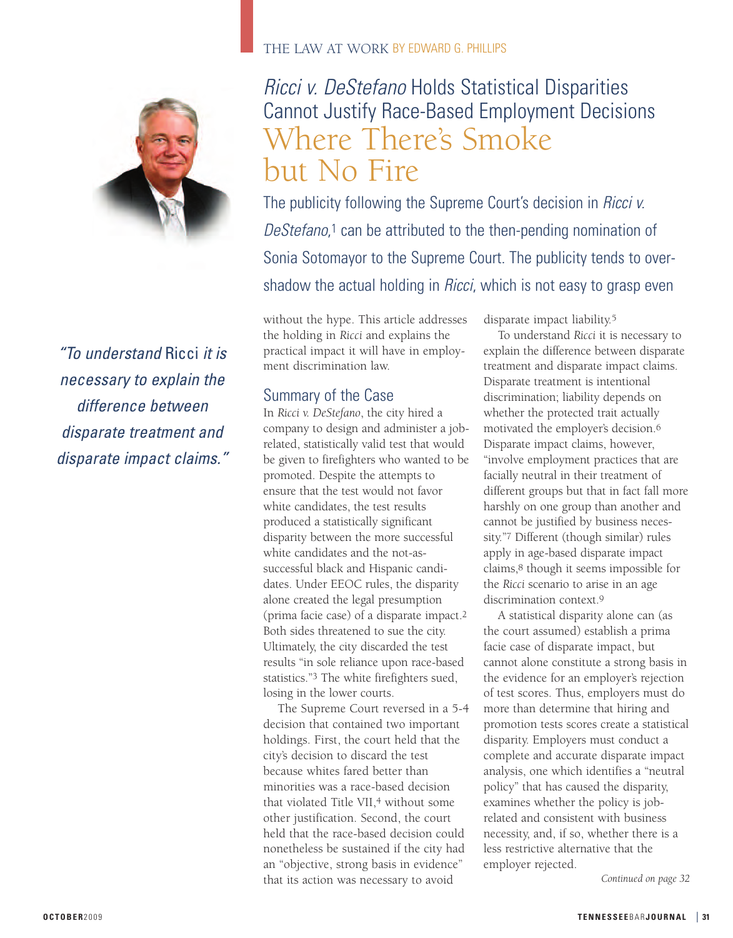

*"To understand* Ricci *it is necessary to explain the difference between disparate treatment and disparate impact claims."*

#### THE LAW AT WORK BY EDWARD G. PHILLIPS

# *Ricci v. DeStefano* Holds Statistical Disparities Cannot Justify Race-Based Employment Decisions Where There's Smoke but No Fire

The publicity following the Supreme Court's decision in *Ricci v. DeStefano*,1 can be attributed to the then-pending nomination of Sonia Sotomayor to the Supreme Court. The publicity tends to overshadow the actual holding in *Ricci*, which is not easy to grasp even

without the hype. This article addresses the holding in *Ricci* and explains the practical impact it will have in employment discrimination law.

## Summary of the Case

In *Ricci v. DeStefano*, the city hired a company to design and administer a jobrelated, statistically valid test that would be given to firefighters who wanted to be promoted. Despite the attempts to ensure that the test would not favor white candidates, the test results produced a statistically significant disparity between the more successful white candidates and the not-assuccessful black and Hispanic candidates. Under EEOC rules, the disparity alone created the legal presumption (prima facie case) of a disparate impact.2 Both sides threatened to sue the city. Ultimately, the city discarded the test results "in sole reliance upon race-based statistics."3 The white firefighters sued, losing in the lower courts.

The Supreme Court reversed in a 5-4 decision that contained two important holdings. First, the court held that the city's decision to discard the test because whites fared better than minorities was a race-based decision that violated Title VII,<sup>4</sup> without some other justification. Second, the court held that the race-based decision could nonetheless be sustained if the city had an "objective, strong basis in evidence" that its action was necessary to avoid

disparate impact liability.5

To understand *Ricci* it is necessary to explain the difference between disparate treatment and disparate impact claims. Disparate treatment is intentional discrimination; liability depends on whether the protected trait actually motivated the employer's decision.6 Disparate impact claims, however, "involve employment practices that are facially neutral in their treatment of different groups but that in fact fall more harshly on one group than another and cannot be justified by business necessity."7 Different (though similar) rules apply in age-based disparate impact claims,8 though it seems impossible for the *Ricci* scenario to arise in an age discrimination context.9

A statistical disparity alone can (as the court assumed) establish a prima facie case of disparate impact, but cannot alone constitute a strong basis in the evidence for an employer's rejection of test scores. Thus, employers must do more than determine that hiring and promotion tests scores create a statistical disparity. Employers must conduct a complete and accurate disparate impact analysis, one which identifies a "neutral policy" that has caused the disparity, examines whether the policy is jobrelated and consistent with business necessity, and, if so, whether there is a less restrictive alternative that the employer rejected.

*Continued on page 32*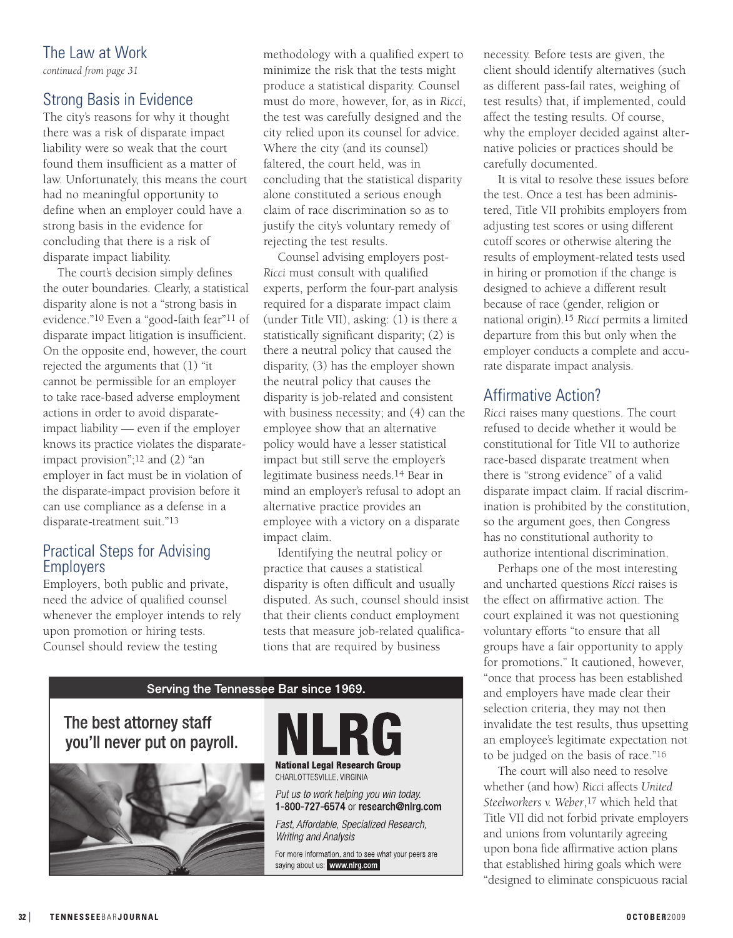## The Law at Work

*continued from page 31*

## Strong Basis in Evidence

The city's reasons for why it thought there was a risk of disparate impact liability were so weak that the court found them insufficient as a matter of law. Unfortunately, this means the court had no meaningful opportunity to define when an employer could have a strong basis in the evidence for concluding that there is a risk of disparate impact liability.

The court's decision simply defines the outer boundaries. Clearly, a statistical disparity alone is not a "strong basis in evidence."10 Even a "good-faith fear"11 of disparate impact litigation is insufficient. On the opposite end, however, the court rejected the arguments that (1) "it cannot be permissible for an employer to take race-based adverse employment actions in order to avoid disparateimpact liability — even if the employer knows its practice violates the disparateimpact provision";12 and (2) "an employer in fact must be in violation of the disparate-impact provision before it can use compliance as a defense in a disparate-treatment suit."13

#### Practical Steps for Advising Employers

Employers, both public and private, need the advice of qualified counsel whenever the employer intends to rely upon promotion or hiring tests. Counsel should review the testing

methodology with a qualified expert to minimize the risk that the tests might produce a statistical disparity. Counsel must do more, however, for, as in *Ricci*, the test was carefully designed and the city relied upon its counsel for advice. Where the city (and its counsel) faltered, the court held, was in concluding that the statistical disparity alone constituted a serious enough claim of race discrimination so as to justify the city's voluntary remedy of rejecting the test results.

Counsel advising employers post-*Ricci* must consult with qualified experts, perform the four-part analysis required for a disparate impact claim (under Title VII), asking: (1) is there a statistically significant disparity; (2) is there a neutral policy that caused the disparity, (3) has the employer shown the neutral policy that causes the disparity is job-related and consistent with business necessity; and (4) can the employee show that an alternative policy would have a lesser statistical impact but still serve the employer's legitimate business needs.14 Bear in mind an employer's refusal to adopt an alternative practice provides an employee with a victory on a disparate impact claim.

Identifying the neutral policy or practice that causes a statistical disparity is often difficult and usually disputed. As such, counsel should insist that their clients conduct employment tests that measure job-related qualifications that are required by business



necessity. Before tests are given, the client should identify alternatives (such as different pass-fail rates, weighing of test results) that, if implemented, could affect the testing results. Of course, why the employer decided against alternative policies or practices should be carefully documented.

It is vital to resolve these issues before the test. Once a test has been administered, Title VII prohibits employers from adjusting test scores or using different cutoff scores or otherwise altering the results of employment-related tests used in hiring or promotion if the change is designed to achieve a different result because of race (gender, religion or national origin).15 *Ricci* permits a limited departure from this but only when the employer conducts a complete and accurate disparate impact analysis.

### Affirmative Action?

*Ricci* raises many questions. The court refused to decide whether it would be constitutional for Title VII to authorize race-based disparate treatment when there is "strong evidence" of a valid disparate impact claim. If racial discrimination is prohibited by the constitution, so the argument goes, then Congress has no constitutional authority to authorize intentional discrimination.

Perhaps one of the most interesting and uncharted questions *Ricci* raises is the effect on affirmative action. The court explained it was not questioning voluntary efforts "to ensure that all groups have a fair opportunity to apply for promotions." It cautioned, however, "once that process has been established and employers have made clear their selection criteria, they may not then invalidate the test results, thus upsetting an employee's legitimate expectation not to be judged on the basis of race."16

The court will also need to resolve whether (and how) *Ricci* affects *United Steelworkers v. Weber*,17 which held that Title VII did not forbid private employers and unions from voluntarily agreeing upon bona fide affirmative action plans that established hiring goals which were "designed to eliminate conspicuous racial